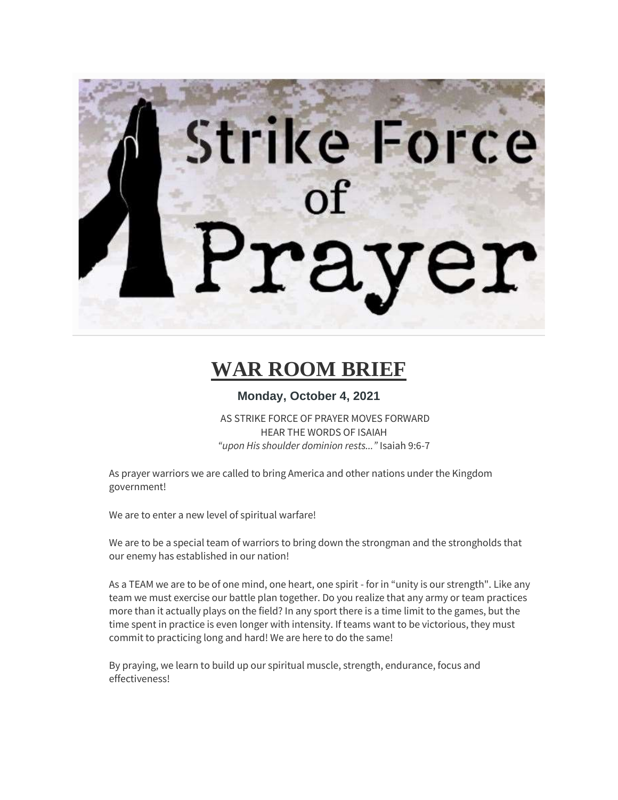# Strike Force

### **WAR ROOM BRIEF**

#### **Monday, October 4, 2021**

AS STRIKE FORCE OF PRAYER MOVES FORWARD HEAR THE WORDS OF ISAIAH *"upon His shoulder dominion rests..."* Isaiah 9:6-7

As prayer warriors we are called to bring America and other nations under the Kingdom government!

We are to enter a new level of spiritual warfare!

We are to be a special team of warriors to bring down the strongman and the strongholds that our enemy has established in our nation!

As a TEAM we are to be of one mind, one heart, one spirit - for in "unity is our strength". Like any team we must exercise our battle plan together. Do you realize that any army or team practices more than it actually plays on the field? In any sport there is a time limit to the games, but the time spent in practice is even longer with intensity. If teams want to be victorious, they must commit to practicing long and hard! We are here to do the same!

By praying, we learn to build up our spiritual muscle, strength, endurance, focus and effectiveness!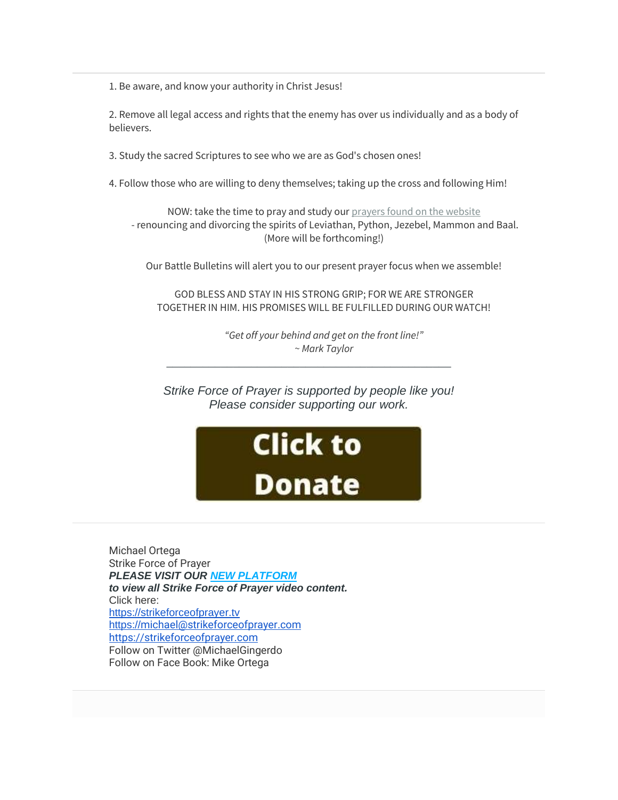1. Be aware, and know your authority in Christ Jesus!

2. Remove all legal access and rights that the enemy has over us individually and as a body of believers.

3. Study the sacred Scriptures to see who we are as God's chosen ones!

4. Follow those who are willing to deny themselves; taking up the cross and following Him!

NOW: take the time to pray and study our [prayers found on the website](https://strikeforceofprayer.com/list-of-prayers) - renouncing and divorcing the spirits of Leviathan, Python, Jezebel, Mammon and Baal. (More will be forthcoming!)

Our Battle Bulletins will alert you to our present prayer focus when we assemble!

GOD BLESS AND STAY IN HIS STRONG GRIP; FOR WE ARE STRONGER TOGETHER IN HIM. HIS PROMISES WILL BE FULFILLED DURING OUR WATCH!

> *"Get off your behind and get on the front line!" ~ Mark Taylor*

*Strike Force of Prayer is supported by people like you! Please consider supporting our work.*

\_\_\_\_\_\_\_\_\_\_\_\_\_\_\_\_\_\_\_\_\_\_\_\_\_\_\_\_\_\_\_\_\_\_\_\_\_\_\_\_\_\_\_\_\_\_\_

## **Click to<br>Donate**

Michael Ortega Strike Force of Prayer *PLEASE VISIT OUR [NEW PLATFORM](http://mailing.strikeforceofprayer.com/lt.php?tid=Kk5XVVoEBQRSAk9XAQQESwYAVQdOVlYDABUPAVBaBQFVClcCUFVMUlAHW1MFBFZLAgVSAk4AAA4EFQBeV1RMVgAAU18DUQACUAIDTVJUB14LAAZVTgQGUgMVDAFWAUwIVFNTS1UFVVFQAQAAXVYCAg) to view all Strike Force of Prayer video content.* Click here: [https://strikeforceofprayer.tv](https://strikeforceofprayer.tv/) [https://](https://michael@strikeforceofprayer.com/)[michael@strikeforceofprayer.com](http://mailing.strikeforceofprayer.com/lt.php?tid=Kk5QV1RWUQxUAE8DXQICSwYGVF1OVlNUURUODAsGVQgGCwIEAw1MUlAHW1MFBFZLAgVSAk4AAA4EFQBeV1RMVgAAU18DUQACUAIDTVJUB14LAAZVTgQGUgMVDAFWAUwIVFNTS1UFVVFQAQAAXVYCAg) [https://strikeforceofprayer.com](https://strikeforceofprayer.us17.list-manage.com/track/click?u=30e1fdc9ef72d2ad852be26e9&id=88763f3751&e=cf8e0c7e26) Follow on Twitter @MichaelGingerdo Follow on Face Book: Mike Ortega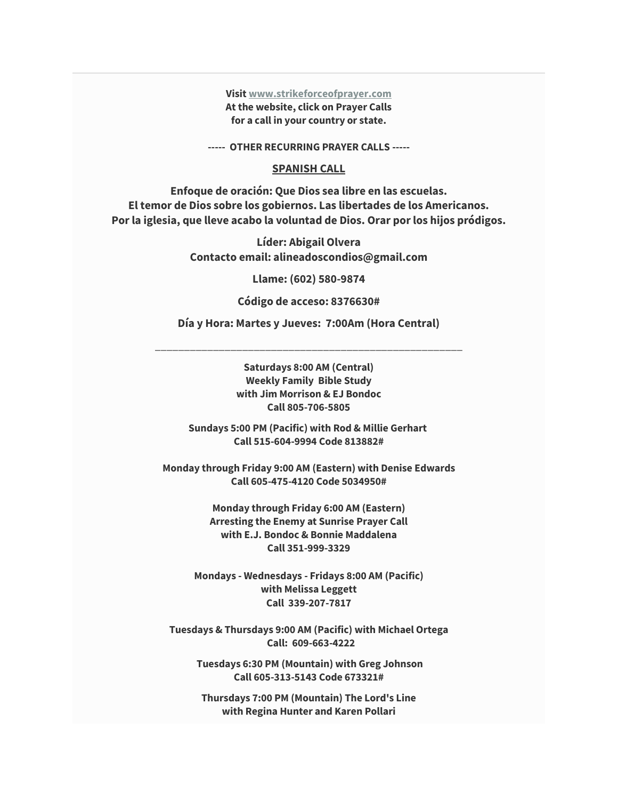**Visit [www.strikeforceofprayer.com](http://mailing.strikeforceofprayer.com/lt.php?tid=Kk4CUlNVUwJVVE8CVwMMSwZRW1ZODFJTCBVZDQEHBwgHBlUDBlVMDVcEWgRSAABLVwwEBk4AUwUAFVoJAwZMCQcEAFIHA1NSUlJXTVJUB14LAAZVTgQGUgMVDAFWAUwIVFNTS1UFVVFQAQAAXVYCAg) At the website, click on Prayer Calls for a call in your country or state.**

**----- OTHER RECURRING PRAYER CALLS -----**

#### **SPANISH CALL**

**Enfoque de oración: Que Dios sea libre en las escuelas. El temor de Dios sobre los gobiernos. Las libertades de los Americanos. Por la iglesia, que lleve acabo la voluntad de Dios. Orar por los hijos pródigos.**

> **Líder: Abigail Olvera Contacto email: alineadoscondios@gmail.com**

> > **Llame: (602) 580-9874**

**Código de acceso: 8376630#**

**Día y Hora: Martes y Jueves: 7:00Am (Hora Central)**

\_\_\_\_\_\_\_\_\_\_\_\_\_\_\_\_\_\_\_\_\_\_\_\_\_\_\_\_\_\_\_\_\_\_\_\_\_\_\_\_\_\_\_\_\_\_\_\_\_\_\_\_\_

**Saturdays 8:00 AM (Central) Weekly Family Bible Study with Jim Morrison & EJ Bondoc Call 805-706-5805**

**Sundays 5:00 PM (Pacific) with Rod & Millie Gerhart Call 515-604-9994 Code 813882#**

**Monday through Friday 9:00 AM (Eastern) with Denise Edwards Call 605-475-4120 Code 5034950#**

> **Monday through Friday 6:00 AM (Eastern) Arresting the Enemy at Sunrise Prayer Call with E.J. Bondoc & Bonnie Maddalena Call 351-999-3329**

**Mondays - Wednesdays - Fridays 8:00 AM (Pacific) with Melissa Leggett Call 339-207-7817**

**Tuesdays & Thursdays 9:00 AM (Pacific) with Michael Ortega Call: 609-663-4222**

**Tuesdays 6:30 PM (Mountain) with Greg Johnson Call 605-313-5143 Code 673321#**

**Thursdays 7:00 PM (Mountain) The Lord's Line with Regina Hunter and Karen Pollari**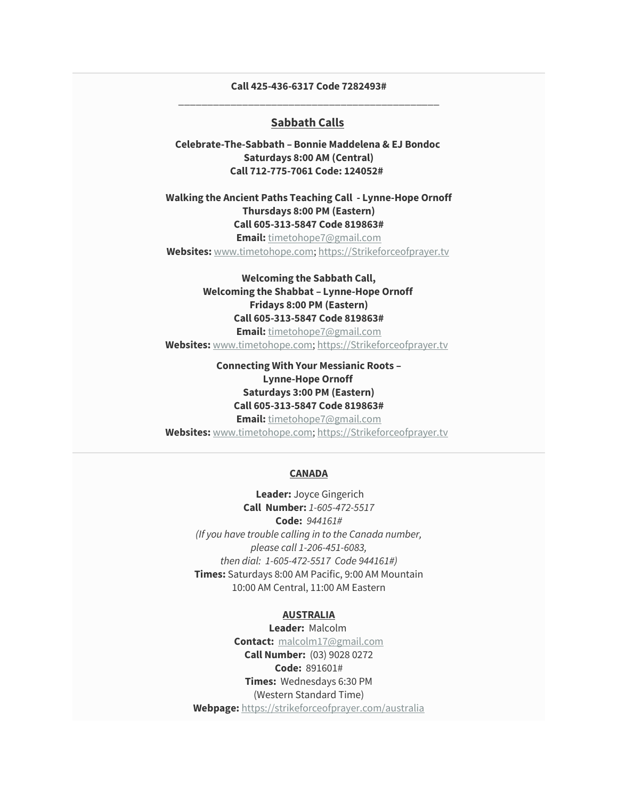#### **Call 425-436-6317 Code 7282493#** \_\_\_\_\_\_\_\_\_\_\_\_\_\_\_\_\_\_\_\_\_\_\_\_\_\_\_\_\_\_\_\_\_\_\_\_\_\_\_\_\_\_\_\_\_

#### **Sabbath Calls**

**Celebrate-The-Sabbath – Bonnie Maddelena & EJ Bondoc Saturdays 8:00 AM (Central) Call 712-775-7061 Code: 124052#** 

**Walking the Ancient Paths Teaching Call - Lynne-Hope Ornoff Thursdays 8:00 PM (Eastern) Call 605-313-5847 Code 819863#**

**Email:** [timetohope7@gmail.com](mailto:timetohope7@gmail.com)

**Websites:** [www.timetohope.com;](http://www.timetohope.com/) [https://Strikeforceofprayer.tv](https://strikeforceofprayer.tv/)

**Welcoming the Sabbath Call, Welcoming the Shabbat – Lynne-Hope Ornoff Fridays 8:00 PM (Eastern) Call 605-313-5847 Code 819863# Email:** [timetohope7@gmail.com](mailto:timetohope7@gmail.com)

**Websites:** [www.timetohope.com;](http://www.timetohope.com/) [https://Strikeforceofprayer.tv](https://strikeforceofprayer.tv/)

**Connecting With Your Messianic Roots – Lynne-Hope Ornoff Saturdays 3:00 PM (Eastern) Call 605-313-5847 Code 819863#**

**Email:** [timetohope7@gmail.com](mailto:timetohope7@gmail.com) **Websites:** [www.timetohope.com;](http://www.timetohope.com/) [https://Strikeforceofprayer.tv](https://strikeforceofprayer.tv/)

#### **CANADA**

**Leader:** Joyce Gingerich **Call Number:** *1-605-472-5517* **Code:** *944161# (If you have trouble calling in to the Canada number, please call 1-206-451-6083, then dial: 1-605-472-5517 Code 944161#)* **Times:** Saturdays 8:00 AM Pacific, 9:00 AM Mountain 10:00 AM Central, 11:00 AM Eastern

#### **AUSTRALIA**

**Leader:** Malcolm **Contact:** [malcolm17@gmail.com](mailto:malcolm17@gmail.com) **Call Number:** (03) 9028 0272 **Code:** 891601# **Times:** Wednesdays 6:30 PM (Western Standard Time) **Webpage:** <https://strikeforceofprayer.com/australia>